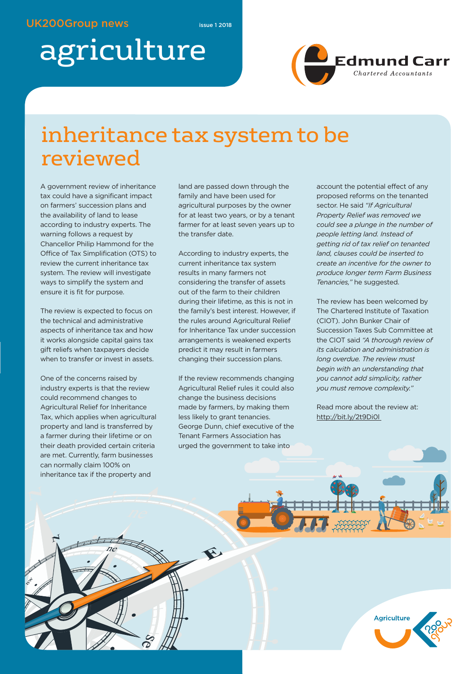# agriculture



### inheritance tax system to be reviewed

A government review of inheritance tax could have a significant impact on farmers' succession plans and the availability of land to lease according to industry experts. The warning follows a request by Chancellor Philip Hammond for the Office of Tax Simplification (OTS) to review the current inheritance tax system. The review will investigate ways to simplify the system and ensure it is fit for purpose.

The review is expected to focus on the technical and administrative aspects of inheritance tax and how it works alongside capital gains tax gift reliefs when taxpayers decide when to transfer or invest in assets.

One of the concerns raised by industry experts is that the review could recommend changes to Agricultural Relief for Inheritance Tax, which applies when agricultural property and land is transferred by a farmer during their lifetime or on their death provided certain criteria are met. Currently, farm businesses can normally claim 100% on inheritance tax if the property and

land are passed down through the family and have been used for agricultural purposes by the owner for at least two years, or by a tenant farmer for at least seven years up to the transfer date.

According to industry experts, the current inheritance tax system results in many farmers not considering the transfer of assets out of the farm to their children during their lifetime, as this is not in the family's best interest. However, if the rules around Agricultural Relief for Inheritance Tax under succession arrangements is weakened experts predict it may result in farmers changing their succession plans.

If the review recommends changing Agricultural Relief rules it could also change the business decisions made by farmers, by making them less likely to grant tenancies. George Dunn, chief executive of the Tenant Farmers Association has urged the government to take into

account the potential effect of any proposed reforms on the tenanted sector. He said *"If Agricultural Property Relief was removed we could see a plunge in the number of people letting land. Instead of getting rid of tax relief on tenanted land, clauses could be inserted to create an incentive for the owner to produce longer term Farm Business Tenancies,"* he suggested.

The review has been welcomed by The Chartered Institute of Taxation (CIOT). John Bunker Chair of Succession Taxes Sub Committee at the CIOT said *"A thorough review of its calculation and administration is long overdue. The review must begin with an understanding that you cannot add simplicity, rather you must remove complexity."*

Read more about the review at: http://bit.ly/2t9Di0l

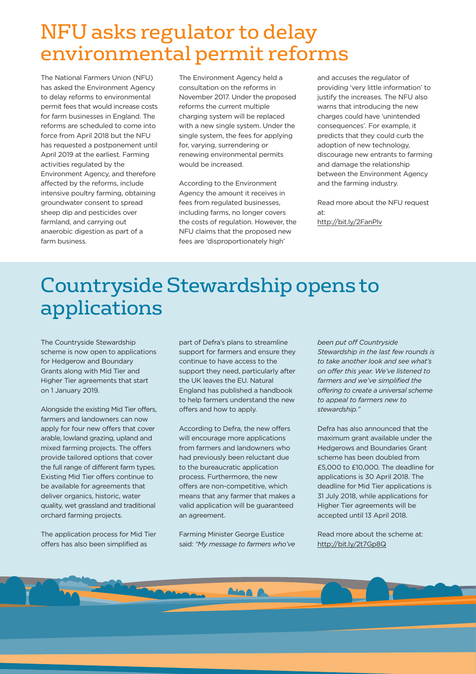### NFU asks regulator to delay environmental permit reforms

The National Farmers Union (NFU) has asked the Environment Agency to delay reforms to environmental permit fees that would increase costs for farm businesses in England. The reforms are scheduled to come into force from April 2018 but the NFU has requested a postponement until April 2019 at the earliest. Farming activities regulated by the Environment Agency, and therefore affected by the reforms, include intensive poultry farming, obtaining groundwater consent to spread sheep dip and pesticides over farmland, and carrying out anaerobic digestion as part of a farm business.

The Environment Agency held a consultation on the reforms in November 2017. Under the proposed reforms the current multiple charging system will be replaced with a new single system. Under the single system, the fees for applying for, varying, surrendering or renewing environmental permits would be increased.

According to the Environment Agency the amount it receives in fees from regulated businesses, including farms, no longer covers the costs of regulation. However, the NFU claims that the proposed new fees are 'disproportionately high'

and accuses the regulator of providing 'very little information' to justify the increases. The NFU also warns that introducing the new charges could have 'unintended consequences'. For example, it predicts that they could curb the adoption of new technology, discourage new entrants to farming and damage the relationship between the Environment Agency and the farming industry.

Read more about the NFU request at: http://bit.ly/2FanPlv

### Countryside Stewardshipopens to applications

The Countryside Stewardship scheme is now open to applications for Hedgerow and Boundary Grants along with Mid Tier and Higher Tier agreements that start on 1 January 2019.

Alongside the existing Mid Tier offers, farmers and landowners can now apply for four new offers that cover arable, lowland grazing, upland and mixed farming projects. The offers provide tailored options that cover the full range of different farm types. Existing Mid Tier offers continue to be available for agreements that deliver organics, historic, water quality, wet grassland and traditional orchard farming projects.

The application process for Mid Tier offers has also been simplified as

part of Defra's plans to streamline support for farmers and ensure they continue to have access to the support they need, particularly after the UK leaves the EU. Natural England has published a handbook to help farmers understand the new offers and how to apply.

According to Defra, the new offers will encourage more applications from farmers and landowners who had previously been reluctant due to the bureaucratic application process. Furthermore, the new offers are non-competitive, which means that any farmer that makes a valid application will be guaranteed an agreement.

Farming Minister George Eustice said: *"My message to farmers who've* *been put off Countryside Stewardship in the last few rounds is to take another look and see what's on offer this year. We've listened to farmers and we've simplified the offering to create a universal scheme to appeal to farmers new to stewardship."*

Defra has also announced that the maximum grant available under the Hedgerows and Boundaries Grant scheme has been doubled from £5,000 to £10,000. The deadline for applications is 30 April 2018. The deadline for Mid Tier applications is 31 July 2018, while applications for Higher Tier agreements will be accepted until 13 April 2018.

Read more about the scheme at: http://bit.ly/2t7Gp8Q

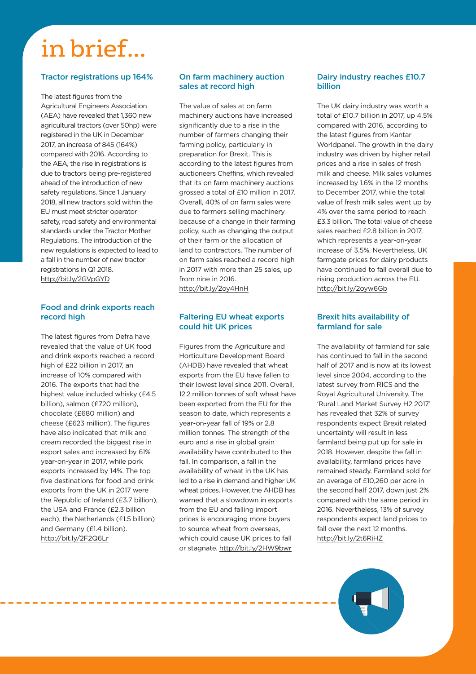## in brief...

#### **Tractor registrations up 164%**

The latest figures from the Agricultural Engineers Association (AEA) have revealed that 1,360 new agricultural tractors (over 50hp) were registered in the UK in December 2017, an increase of 845 (164%) compared with 2016. According to the AEA, the rise in registrations is due to tractors being pre-registered ahead of the introduction of new safety regulations. Since 1 January 2018, all new tractors sold within the EU must meet stricter operator safety, road safety and environmental standards under the Tractor Mother Regulations. The introduction of the new regulations is expected to lead to a fall in the number of new tractor registrations in Q1 2018. http://bit.ly/2GVpGYD

#### **Food and drink exports reach record high**

The latest figures from Defra have revealed that the value of UK food and drink exports reached a record high of £22 billion in 2017, an increase of 10% compared with 2016. The exports that had the highest value included whisky (£4.5 billion), salmon (£720 million), chocolate (£680 million) and cheese (£623 million). The figures have also indicated that milk and cream recorded the biggest rise in export sales and increased by 61% year-on-year in 2017, while pork exports increased by 14%. The top five destinations for food and drink exports from the UK in 2017 were the Republic of Ireland (£3.7 billion), the USA and France (£2.3 billion each), the Netherlands (£1.5 billion) and Germany (£1.4 billion). http://bit.ly/2F2Q6Lr

#### **On farm machinery auction sales at record high**

The value of sales at on farm machinery auctions have increased significantly due to a rise in the number of farmers changing their farming policy, particularly in preparation for Brexit. This is according to the latest figures from auctioneers Cheffins, which revealed that its on farm machinery auctions grossed a total of £10 million in 2017. Overall, 40% of on farm sales were due to farmers selling machinery because of a change in their farming policy, such as changing the output of their farm or the allocation of land to contractors. The number of on farm sales reached a record high in 2017 with more than 25 sales, up from nine in 2016. http://bit.ly/2oy4HnH

#### **Faltering EU wheat exports could hit UK prices**

Figures from the Agriculture and Horticulture Development Board (AHDB) have revealed that wheat exports from the EU have fallen to their lowest level since 2011. Overall, 12.2 million tonnes of soft wheat have been exported from the EU for the season to date, which represents a year-on-year fall of 19% or 2.8 million tonnes. The strength of the euro and a rise in global grain availability have contributed to the fall. In comparison, a fall in the availability of wheat in the UK has led to a rise in demand and higher UK wheat prices. However, the AHDB has warned that a slowdown in exports from the EU and falling import prices is encouraging more buyers to source wheat from overseas, which could cause UK prices to fall or stagnate. http://bit.ly/2HW9bwr

#### **Dairy industry reaches £10.7 billion**

The UK dairy industry was worth a total of £10.7 billion in 2017, up 4.5% compared with 2016, according to the latest figures from Kantar Worldpanel. The growth in the dairy industry was driven by higher retail prices and a rise in sales of fresh milk and cheese. Milk sales volumes increased by 1.6% in the 12 months to December 2017, while the total value of fresh milk sales went up by 4% over the same period to reach £3.3 billion. The total value of cheese sales reached £2.8 billion in 2017, which represents a year-on-year increase of 3.5%. Nevertheless, UK farmgate prices for dairy products have continued to fall overall due to rising production across the EU. http://bit.ly/2oyw6Gb

#### **Brexit hits availability of farmland for sale**

The availability of farmland for sale has continued to fall in the second half of 2017 and is now at its lowest level since 2004, according to the latest survey from RICS and the Royal Agricultural University. The 'Rural Land Market Survey H2 2017' has revealed that 32% of survey respondents expect Brexit related uncertainty will result in less farmland being put up for sale in 2018. However, despite the fall in availability, farmland prices have remained steady. Farmland sold for an average of £10,260 per acre in the second half 2017, down just 2% compared with the same period in 2016. Nevertheless, 13% of survey respondents expect land prices to fall over the next 12 months. http://bit.ly/2t6RiHZ